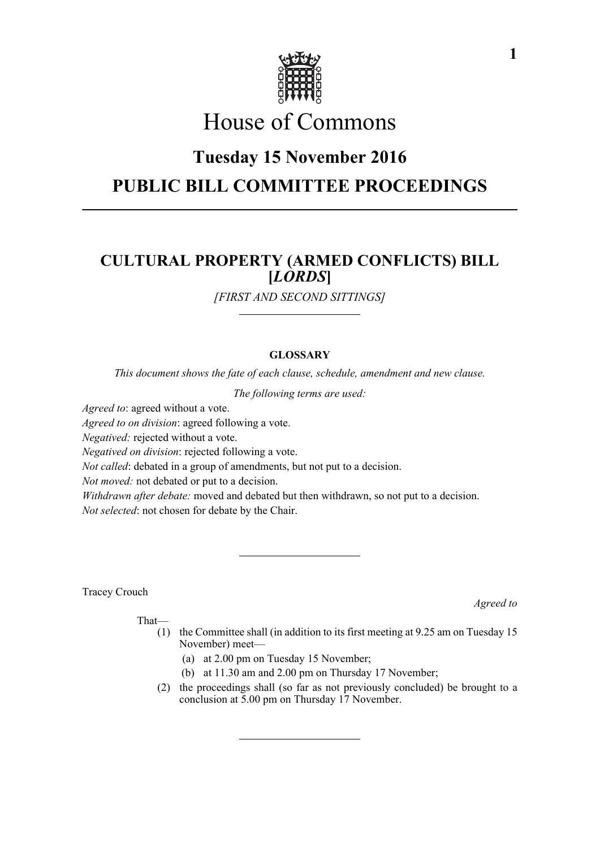

# House of Commons

# **Tuesday 15 November 2016 PUBLIC BILL COMMITTEE PROCEEDINGS**

## **CULTURAL PROPERTY (ARMED CONFLICTS) BILL [***LORDS***]**

*[FIRST AND SECOND SITTINGS]*

### **GLOSSARY**

*This document shows the fate of each clause, schedule, amendment and new clause.*

*The following terms are used:*

*Agreed to*: agreed without a vote.

*Agreed to on division*: agreed following a vote.

*Negatived:* rejected without a vote.

*Negatived on division*: rejected following a vote.

*Not called*: debated in a group of amendments, but not put to a decision.

*Not moved:* not debated or put to a decision.

*Withdrawn after debate:* moved and debated but then withdrawn, so not put to a decision.

*Not selected*: not chosen for debate by the Chair.

Tracey Crouch

*Agreed to*

That—

- (1) the Committee shall (in addition to its first meeting at 9.25 am on Tuesday 15 November) meet—
	- (a) at 2.00 pm on Tuesday 15 November;
	- (b) at 11.30 am and 2.00 pm on Thursday 17 November;
- (2) the proceedings shall (so far as not previously concluded) be brought to a conclusion at 5.00 pm on Thursday 17 November.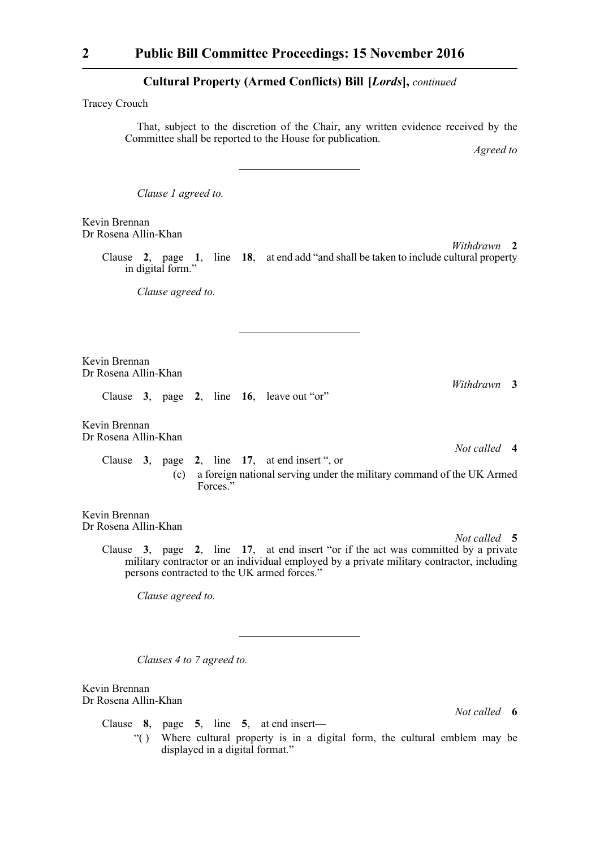Tracey Crouch

That, subject to the discretion of the Chair, any written evidence received by the Committee shall be reported to the House for publication.

*Agreed to*

*Clause 1 agreed to.*

Kevin Brennan Dr Rosena Allin-Khan

*Withdrawn* **2**

Clause **2**, page **1**, line **18**, at end add "and shall be taken to include cultural property in digital form."

*Clause agreed to.*

Kevin Brennan Dr Rosena Allin-Khan

Clause **3**, page **2**, line **16**, leave out "or"

Kevin Brennan Dr Rosena Allin-Khan

> *Not called* **4** Clause **3**, page **2**, line **17**, at end insert ", or (c) a foreign national serving under the military command of the UK Armed Forces<sup></sup>

Kevin Brennan Dr Rosena Allin-Khan

*Not called* **5**

*Withdrawn* **3**

Clause **3**, page **2**, line **17**, at end insert "or if the act was committed by a private military contractor or an individual employed by a private military contractor, including persons contracted to the UK armed forces."

*Clause agreed to.*

*Clauses 4 to 7 agreed to.*

Kevin Brennan Dr Rosena Allin-Khan

*Not called* **6**

Clause **8**, page **5**, line **5**, at end insert— "( ) Where cultural property is in a digital form, the cultural emblem may be displayed in a digital format."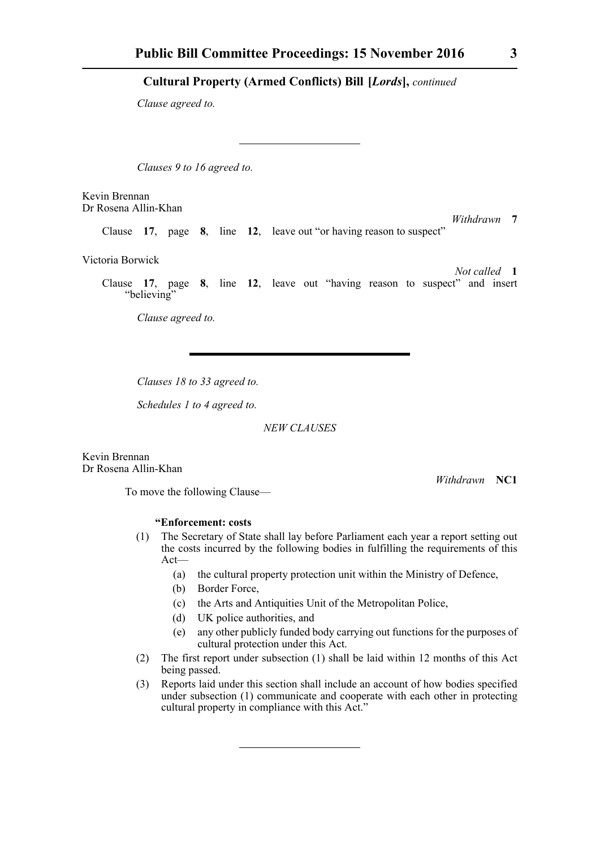*Clause agreed to.*

*Clauses 9 to 16 agreed to.*

Kevin Brennan Dr Rosena Allin-Khan

*Withdrawn* **7** Clause **17**, page **8**, line **12**, leave out "or having reason to suspect"

Victoria Borwick

*Not called* **1** Clause **17**, page **8**, line **12**, leave out "having reason to suspect" and insert "believing"

*Clause agreed to.*

*Clauses 18 to 33 agreed to.*

*Schedules 1 to 4 agreed to.*

*NEW CLAUSES*

Kevin Brennan Dr Rosena Allin-Khan

To move the following Clause—

#### **"Enforcement: costs**

- (1) The Secretary of State shall lay before Parliament each year a report setting out the costs incurred by the following bodies in fulfilling the requirements of this Act—
	- (a) the cultural property protection unit within the Ministry of Defence,
	- (b) Border Force,
	- (c) the Arts and Antiquities Unit of the Metropolitan Police,
	- (d) UK police authorities, and
	- (e) any other publicly funded body carrying out functions for the purposes of cultural protection under this Act.
- (2) The first report under subsection (1) shall be laid within 12 months of this Act being passed.
- (3) Reports laid under this section shall include an account of how bodies specified under subsection (1) communicate and cooperate with each other in protecting cultural property in compliance with this Act."

*Withdrawn* **NC1**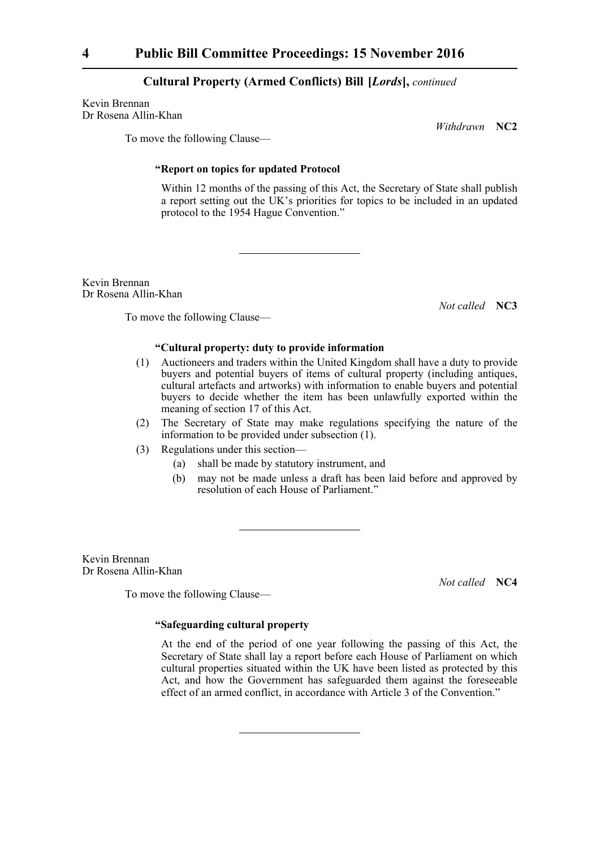Kevin Brennan Dr Rosena Allin-Khan

*Withdrawn* **NC2**

To move the following Clause—

#### **"Report on topics for updated Protocol**

Within 12 months of the passing of this Act, the Secretary of State shall publish a report setting out the UK's priorities for topics to be included in an updated protocol to the 1954 Hague Convention."

Kevin Brennan Dr Rosena Allin-Khan

*Not called* **NC3**

To move the following Clause—

#### **"Cultural property: duty to provide information**

- (1) Auctioneers and traders within the United Kingdom shall have a duty to provide buyers and potential buyers of items of cultural property (including antiques, cultural artefacts and artworks) with information to enable buyers and potential buyers to decide whether the item has been unlawfully exported within the meaning of section 17 of this Act.
- (2) The Secretary of State may make regulations specifying the nature of the information to be provided under subsection (1).
- (3) Regulations under this section—
	- (a) shall be made by statutory instrument, and
	- (b) may not be made unless a draft has been laid before and approved by resolution of each House of Parliament."

Kevin Brennan Dr Rosena Allin-Khan

To move the following Clause—

*Not called* **NC4**

#### **"Safeguarding cultural property**

At the end of the period of one year following the passing of this Act, the Secretary of State shall lay a report before each House of Parliament on which cultural properties situated within the UK have been listed as protected by this Act, and how the Government has safeguarded them against the foreseeable effect of an armed conflict, in accordance with Article 3 of the Convention."